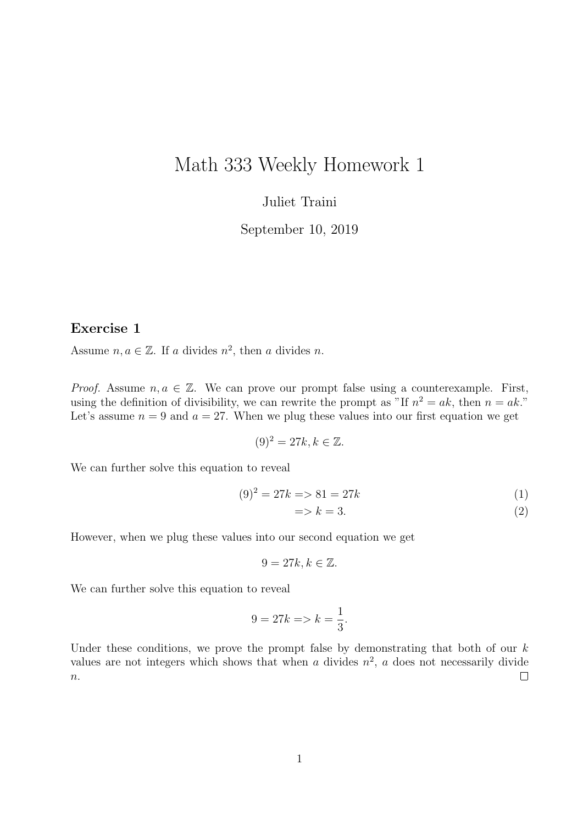## Math 333 Weekly Homework 1

## Juliet Traini

September 10, 2019

## Exercise 1

Assume  $n, a \in \mathbb{Z}$ . If a divides  $n^2$ , then a divides n.

*Proof.* Assume  $n, a \in \mathbb{Z}$ . We can prove our prompt false using a counterexample. First, using the definition of divisibility, we can rewrite the prompt as "If  $n^2 = ak$ , then  $n = ak$ ." Let's assume  $n = 9$  and  $a = 27$ . When we plug these values into our first equation we get

$$
(9)^2 = 27k, k \in \mathbb{Z}.
$$

We can further solve this equation to reveal

$$
(9)2 = 27k \Rightarrow 81 = 27k \tag{1}
$$

$$
|\Rightarrow k = 3. \tag{2}
$$

However, when we plug these values into our second equation we get

$$
9 = 27k, k \in \mathbb{Z}.
$$

We can further solve this equation to reveal

$$
9 = 27k \Longrightarrow k = \frac{1}{3}.
$$

Under these conditions, we prove the prompt false by demonstrating that both of our  $k$ values are not integers which shows that when a divides  $n^2$ , a does not necessarily divide  $\Box$  $\boldsymbol{n}.$